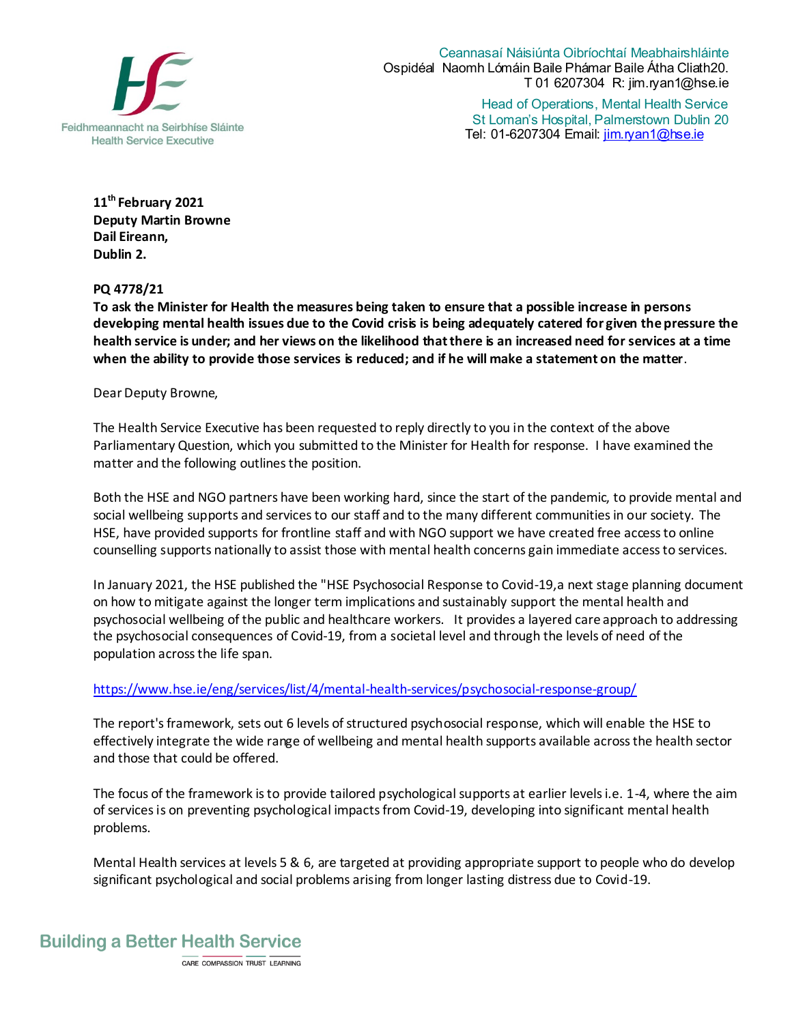

Ceannasaí Náisiúnta Oibríochtaí Meabhairshláinte Ospidéal Naomh Lómáin Baile Phámar Baile Átha Cliath20. T 01 6207304 R: jim.ryan1@hse.ie

Head of Operations, Mental Health Service St Loman's Hospital, Palmerstown Dublin 20 Tel: 01-6207304 Email: jim.ryan1@hse.ie

**11th February 2021 Deputy Martin Browne Dail Eireann, Dublin 2.** 

**PQ 4778/21**

**To ask the Minister for Health the measures being taken to ensure that a possible increase in persons developing mental health issues due to the Covid crisis is being adequately catered for given the pressure the health service is under; and her views on the likelihood that there is an increased need for services at a time when the ability to provide those services is reduced; and if he will make a statement on the matter**.

Dear Deputy Browne,

The Health Service Executive has been requested to reply directly to you in the context of the above Parliamentary Question, which you submitted to the Minister for Health for response. I have examined the matter and the following outlines the position.

Both the HSE and NGO partners have been working hard, since the start of the pandemic, to provide mental and social wellbeing supports and services to our staff and to the many different communities in our society. The HSE, have provided supports for frontline staff and with NGO support we have created free access to online counselling supports nationally to assist those with mental health concerns gain immediate access to services.

In January 2021, the HSE published the "HSE Psychosocial Response to Covid-19,a next stage planning document on how to mitigate against the longer term implications and sustainably support the mental health and psychosocial wellbeing of the public and healthcare workers. It provides a layered care approach to addressing the psychosocial consequences of Covid-19, from a societal level and through the levels of need of the population across the life span.

## [https://www.hse.ie/eng/services/list/4/mental-health-services/psychosocial-response-group/](https://scanner.topsec.com/?t=e02d22cec3a4257741a3a856e94b6c06b2d5d625&u=https%3A%2F%2Fwww.hse.ie%2Feng%2Fservices%2Flist%2F4%2Fmental-health-services%2Fpsychosocial-response-group%2F&d=1824)

The report's framework, sets out 6 levels of structured psychosocial response, which will enable the HSE to effectively integrate the wide range of wellbeing and mental health supports available across the health sector and those that could be offered.

The focus of the framework is to provide tailored psychological supports at earlier levels i.e. 1-4, where the aim of services is on preventing psychological impacts from Covid-19, developing into significant mental health problems.

Mental Health services at levels 5 & 6, are targeted at providing appropriate support to people who do develop significant psychological and social problems arising from longer lasting distress due to Covid-19.